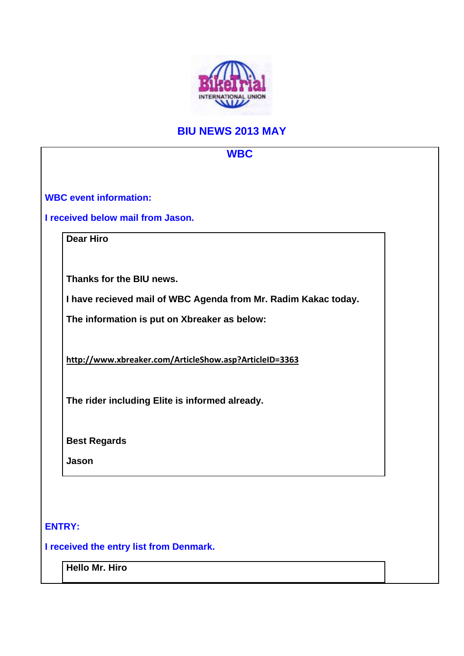

## **BIU NEWS 2013 MAY**

| <b>WBC</b>                                                     |  |
|----------------------------------------------------------------|--|
|                                                                |  |
| <b>WBC event information:</b>                                  |  |
| I received below mail from Jason.                              |  |
| <b>Dear Hiro</b>                                               |  |
|                                                                |  |
| Thanks for the BIU news.                                       |  |
| I have recieved mail of WBC Agenda from Mr. Radim Kakac today. |  |
| The information is put on Xbreaker as below:                   |  |
|                                                                |  |
| http://www.xbreaker.com/ArticleShow.asp?ArticleID=3363         |  |
|                                                                |  |
| The rider including Elite is informed already.                 |  |
|                                                                |  |
| <b>Best Regards</b>                                            |  |
| Jason                                                          |  |
|                                                                |  |
|                                                                |  |
| <b>ENTRY:</b>                                                  |  |
| I received the entry list from Denmark.                        |  |
| Hello Mr. Hiro                                                 |  |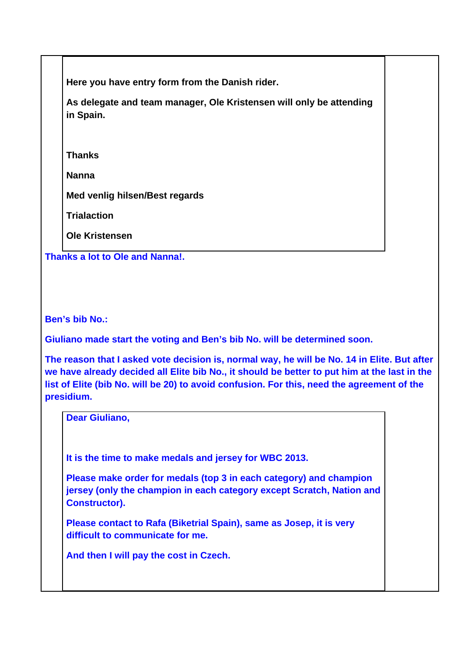**Here you have entry form from the Danish rider.** 

**As delegate and team manager, Ole Kristensen will only be attending in Spain.** 

**Thanks** 

**Nanna** 

**Med venlig hilsen/Best regards** 

**Trialaction**

**Ole Kristensen** 

**Thanks a lot to Ole and Nanna!.**

**Ben's bib No.:** 

**Giuliano made start the voting and Ben's bib No. will be determined soon.** 

**The reason that I asked vote decision is, normal way, he will be No. 14 in Elite. But after we have already decided all Elite bib No., it should be better to put him at the last in the list of Elite (bib No. will be 20) to avoid confusion. For this, need the agreement of the presidium.** 

**Dear Giuliano,** 

**It is the time to make medals and jersey for WBC 2013.** 

**Please make order for medals (top 3 in each category) and champion jersey (only the champion in each category except Scratch, Nation and Constructor).** 

**Please contact to Rafa (Biketrial Spain), same as Josep, it is very difficult to communicate for me.** 

**And then I will pay the cost in Czech.**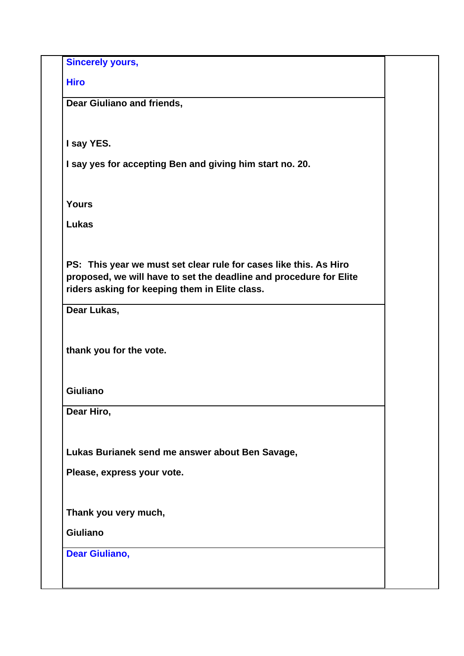**Sincerely yours,** 

**Hiro**

**Dear Giuliano and friends,** 

**I say YES.** 

**I say yes for accepting Ben and giving him start no. 20.** 

**Yours** 

**Lukas** 

**PS: This year we must set clear rule for cases like this. As Hiro proposed, we will have to set the deadline and procedure for Elite riders asking for keeping them in Elite class.** 

**Dear Lukas,** 

**thank you for the vote.** 

**Giuliano** 

**Dear Hiro,** 

**Lukas Burianek send me answer about Ben Savage,** 

**Please, express your vote.** 

**Thank you very much,** 

**Giuliano** 

**Dear Giuliano,**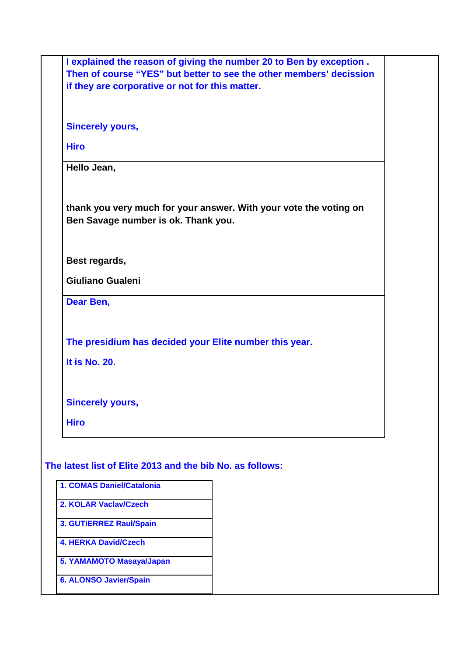| I explained the reason of giving the number 20 to Ben by exception.<br>Then of course "YES" but better to see the other members' decission<br>if they are corporative or not for this matter. |  |  |  |
|-----------------------------------------------------------------------------------------------------------------------------------------------------------------------------------------------|--|--|--|
| <b>Sincerely yours,</b>                                                                                                                                                                       |  |  |  |
| <b>Hiro</b>                                                                                                                                                                                   |  |  |  |
| Hello Jean,                                                                                                                                                                                   |  |  |  |
| thank you very much for your answer. With your vote the voting on<br>Ben Savage number is ok. Thank you.                                                                                      |  |  |  |
| Best regards,                                                                                                                                                                                 |  |  |  |
| Giuliano Gualeni                                                                                                                                                                              |  |  |  |
| Dear Ben,                                                                                                                                                                                     |  |  |  |
| The presidium has decided your Elite number this year.<br>It is No. 20.                                                                                                                       |  |  |  |
| <b>Sincerely yours,</b>                                                                                                                                                                       |  |  |  |
| <b>Hiro</b>                                                                                                                                                                                   |  |  |  |
| The latest list of Elite 2013 and the bib No. as follows:                                                                                                                                     |  |  |  |
| 1. COMAS Daniel/Catalonia                                                                                                                                                                     |  |  |  |
| 2. KOLAR Vaclav/Czech                                                                                                                                                                         |  |  |  |
| 3. GUTIERREZ Raul/Spain                                                                                                                                                                       |  |  |  |
| <b>4. HERKA David/Czech</b>                                                                                                                                                                   |  |  |  |
| 5. YAMAMOTO Masaya/Japan                                                                                                                                                                      |  |  |  |
| <b>6. ALONSO Javier/Spain</b>                                                                                                                                                                 |  |  |  |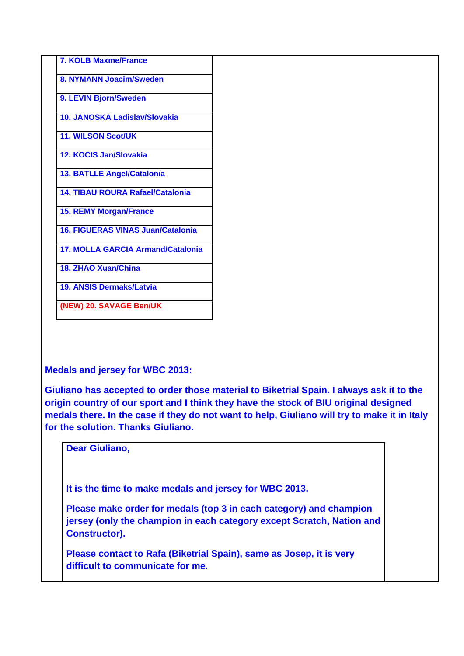**Medals and jersey for WBC 2013:** 

**Giuliano has accepted to order those material to Biketrial Spain. I always ask it to the origin country of our sport and I think they have the stock of BIU original designed medals there. In the case if they do not want to help, Giuliano will try to make it in Italy for the solution. Thanks Giuliano.** 

**Dear Giuliano,** 

**It is the time to make medals and jersey for WBC 2013.** 

**Please make order for medals (top 3 in each category) and champion jersey (only the champion in each category except Scratch, Nation and Constructor).** 

**Please contact to Rafa (Biketrial Spain), same as Josep, it is very difficult to communicate for me.**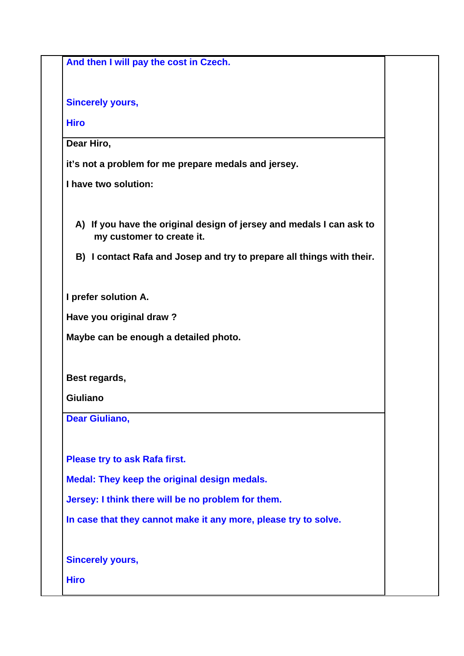| And then I will pay the cost in Czech.                                                            |  |
|---------------------------------------------------------------------------------------------------|--|
| <b>Sincerely yours,</b>                                                                           |  |
| <b>Hiro</b>                                                                                       |  |
| Dear Hiro,                                                                                        |  |
| it's not a problem for me prepare medals and jersey.                                              |  |
| I have two solution:                                                                              |  |
| A) If you have the original design of jersey and medals I can ask to<br>my customer to create it. |  |
| B) I contact Rafa and Josep and try to prepare all things with their.                             |  |
| I prefer solution A.                                                                              |  |
| Have you original draw?                                                                           |  |
| Maybe can be enough a detailed photo.                                                             |  |
| Best regards,                                                                                     |  |
| <b>Giuliano</b>                                                                                   |  |
| <b>Dear Giuliano,</b>                                                                             |  |
| Please try to ask Rafa first.                                                                     |  |
| Medal: They keep the original design medals.                                                      |  |
| Jersey: I think there will be no problem for them.                                                |  |
| In case that they cannot make it any more, please try to solve.                                   |  |
| <b>Sincerely yours,</b>                                                                           |  |
| <b>Hiro</b>                                                                                       |  |